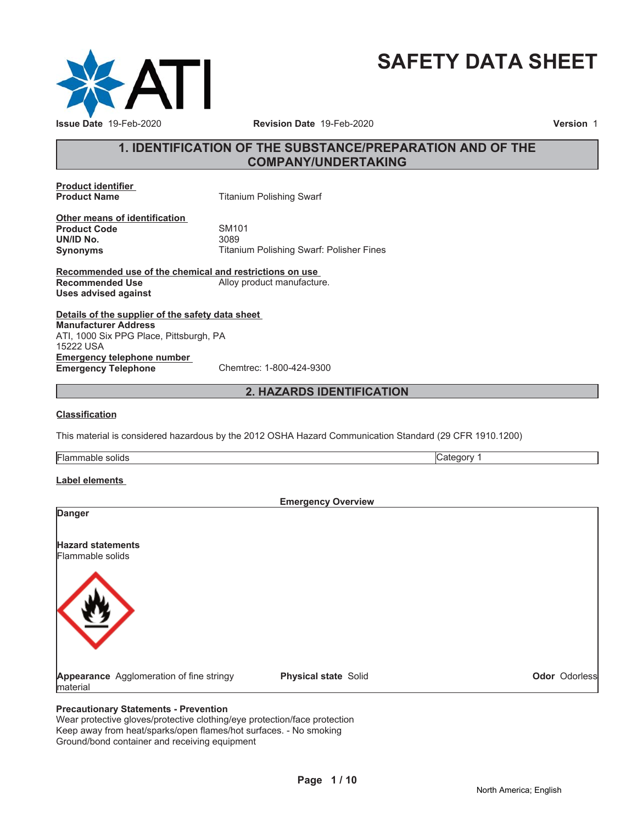

# **SAFETY DATA SHEET**

### **1. IDENTIFICATION OF THE SUBSTANCE/PREPARATION AND OF THE COMPANY/UNDERTAKING**

**Product identifier**

**Titanium Polishing Swarf** 

**Other means of identification Product Code 5M101**<br> **UN/ID No.** 3089 **UN/ID No.** 

**Synonyms** Titanium Polishing Swarf: Polisher Fines

**Recommended use of the chemical and restrictions on use Recommended Use** Alloy product manufacture. **Uses advised against**

**Details of the supplier of the safety data sheet Emergency telephone number Emergency Telephone** Chemtrec: 1-800-424-9300 **Manufacturer Address** ATI, 1000 Six PPG Place, Pittsburgh, PA 15222 USA

### **2. HAZARDS IDENTIFICATION**

#### **Classification**

This material is considered hazardous by the 2012 OSHA Hazard Communication Standard (29 CFR 1910.1200)

Flammable solids **Category 1 Category 1** 

#### **Label elements**

**Emergency Overview Danger Hazard statements** Flammable solids **Appearance** Agglomeration of fine stringy material **Physical state** Solid **Odor** Odorless

### **Precautionary Statements - Prevention**

Wear protective gloves/protective clothing/eye protection/face protection Keep away from heat/sparks/open flames/hot surfaces. - No smoking Ground/bond container and receiving equipment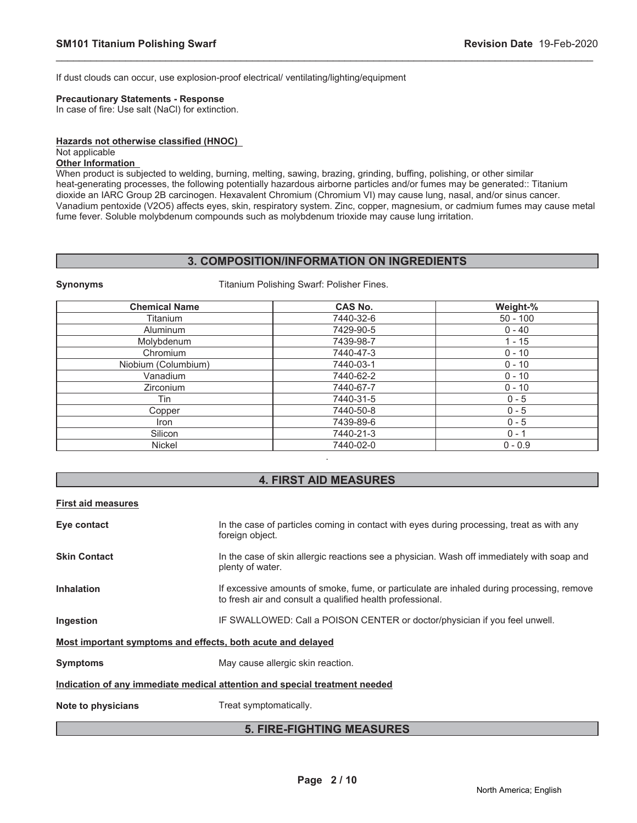If dust clouds can occur, use explosion-proof electrical/ ventilating/lighting/equipment

**Synonyms** Titanium Polishing Swarf: Polisher Fines.

#### **Precautionary Statements - Response**

In case of fire: Use salt (NaCl) for extinction.

#### **Hazards not otherwise classified (HNOC)**

#### Not applicable

### **Other Information**

When product is subjected to welding, burning, melting, sawing, brazing, grinding, buffing, polishing, or other similar heat-generating processes, the following potentially hazardous airborne particles and/or fumes may be generated:: Titanium dioxide an IARC Group 2B carcinogen. Hexavalent Chromium (Chromium VI) may cause lung, nasal, and/or sinus cancer. Vanadium pentoxide (V2O5) affects eyes, skin, respiratory system. Zinc, copper, magnesium, or cadmium fumes may cause metal fume fever. Soluble molybdenum compounds such as molybdenum trioxide may cause lung irritation.

\_\_\_\_\_\_\_\_\_\_\_\_\_\_\_\_\_\_\_\_\_\_\_\_\_\_\_\_\_\_\_\_\_\_\_\_\_\_\_\_\_\_\_\_\_\_\_\_\_\_\_\_\_\_\_\_\_\_\_\_\_\_\_\_\_\_\_\_\_\_\_\_\_\_\_\_\_\_\_\_\_\_\_\_\_\_\_\_\_\_\_\_\_

### **3. COMPOSITION/INFORMATION ON INGREDIENTS**

| <b>Chemical Name</b> | <b>CAS No.</b> | Weight-%   |
|----------------------|----------------|------------|
| Titanium             | 7440-32-6      | $50 - 100$ |
| <b>Aluminum</b>      | 7429-90-5      | $0 - 40$   |
| Molybdenum           | 7439-98-7      | $1 - 15$   |
| Chromium             | 7440-47-3      | $0 - 10$   |
| Niobium (Columbium)  | 7440-03-1      | $0 - 10$   |
| Vanadium             | 7440-62-2      | $0 - 10$   |
| Zirconium            | 7440-67-7      | $0 - 10$   |
| Tin                  | 7440-31-5      | $0 - 5$    |
| Copper               | 7440-50-8      | $0 - 5$    |
| Iron                 | 7439-89-6      | $0 - 5$    |
| Silicon              | 7440-21-3      | $0 - 1$    |
| <b>Nickel</b>        | 7440-02-0      | $0 - 0.9$  |

### **4. FIRST AID MEASURES**

#### **First aid measures**

| Eye contact                                                                | In the case of particles coming in contact with eyes during processing, treat as with any<br>foreign object.                                           |  |  |
|----------------------------------------------------------------------------|--------------------------------------------------------------------------------------------------------------------------------------------------------|--|--|
| <b>Skin Contact</b>                                                        | In the case of skin allergic reactions see a physician. Wash off immediately with soap and<br>plenty of water.                                         |  |  |
| <b>Inhalation</b>                                                          | If excessive amounts of smoke, fume, or particulate are inhaled during processing, remove<br>to fresh air and consult a qualified health professional. |  |  |
| Ingestion                                                                  | IF SWALLOWED: Call a POISON CENTER or doctor/physician if you feel unwell.                                                                             |  |  |
| Most important symptoms and effects, both acute and delayed                |                                                                                                                                                        |  |  |
| <b>Symptoms</b>                                                            | May cause allergic skin reaction.                                                                                                                      |  |  |
| Indication of any immediate medical attention and special treatment needed |                                                                                                                                                        |  |  |
| Note to physicians                                                         | Treat symptomatically.                                                                                                                                 |  |  |

### **5. FIRE-FIGHTING MEASURES**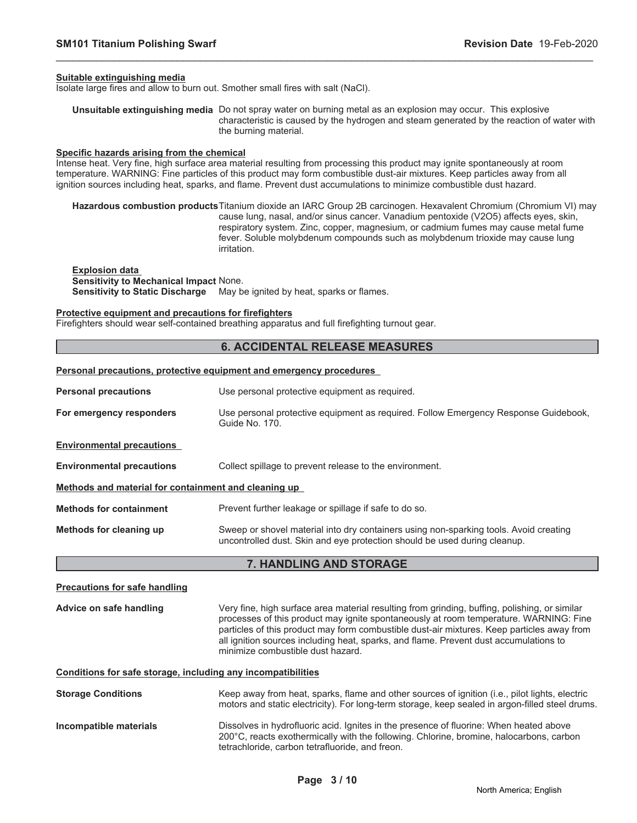#### **Suitable extinguishing media**

Isolate large fires and allow to burn out. Smother small fires with salt (NaCl).

**Unsuitable extinguishing media** Do not spray water on burning metal as an explosion may occur. This explosive characteristic is caused by the hydrogen and steam generated by the reaction of water with the burning material.

\_\_\_\_\_\_\_\_\_\_\_\_\_\_\_\_\_\_\_\_\_\_\_\_\_\_\_\_\_\_\_\_\_\_\_\_\_\_\_\_\_\_\_\_\_\_\_\_\_\_\_\_\_\_\_\_\_\_\_\_\_\_\_\_\_\_\_\_\_\_\_\_\_\_\_\_\_\_\_\_\_\_\_\_\_\_\_\_\_\_\_\_\_

#### **Specific hazards arising from the chemical**

Intense heat. Very fine, high surface area material resulting from processing this product may ignite spontaneously at room temperature. WARNING: Fine particles of this product may form combustible dust-air mixtures. Keep particles away from all ignition sources including heat, sparks, and flame. Prevent dust accumulations to minimize combustible dust hazard.

**Hazardous combustion products**Titanium dioxide an IARC Group 2B carcinogen. Hexavalent Chromium (Chromium VI) may cause lung, nasal, and/or sinus cancer. Vanadium pentoxide (V2O5) affects eyes, skin, respiratory system. Zinc, copper, magnesium, or cadmium fumes may cause metal fume fever. Soluble molybdenum compounds such as molybdenum trioxide may cause lung irritation.

**Explosion data Sensitivity to Mechanical Impact** None. Sensitivity to Static Discharge May be ignited by heat, sparks or flames.

#### **Protective equipment and precautions for firefighters**

Firefighters should wear self-contained breathing apparatus and full firefighting turnout gear.

#### **6. ACCIDENTAL RELEASE MEASURES**

#### **Personal precautions, protective equipment and emergency procedures**

| <b>Personal precautions</b>                          | Use personal protective equipment as required.                                                                                                                     |  |  |
|------------------------------------------------------|--------------------------------------------------------------------------------------------------------------------------------------------------------------------|--|--|
| For emergency responders                             | Use personal protective equipment as required. Follow Emergency Response Guidebook,<br>Guide No. 170.                                                              |  |  |
| <b>Environmental precautions</b>                     |                                                                                                                                                                    |  |  |
| <b>Environmental precautions</b>                     | Collect spillage to prevent release to the environment.                                                                                                            |  |  |
| Methods and material for containment and cleaning up |                                                                                                                                                                    |  |  |
| <b>Methods for containment</b>                       | Prevent further leakage or spillage if safe to do so.                                                                                                              |  |  |
| Methods for cleaning up                              | Sweep or shovel material into dry containers using non-sparking tools. Avoid creating<br>uncontrolled dust. Skin and eye protection should be used during cleanup. |  |  |

#### **7. HANDLING AND STORAGE**

## **Precautions for safe handling Advice on safe handling** Very fine, high surface area material resulting from grinding, buffing, polishing, or similar processes of this product may ignite spontaneously at room temperature. WARNING: Fine particles of this product may form combustible dust-air mixtures. Keep particles away from all ignition sources including heat, sparks, and flame. Prevent dust accumulations to minimize combustible dust hazard. **Conditions for safe storage, including any incompatibilities Storage Conditions** Keep away from heat, sparks, flame and other sources of ignition (i.e., pilot lights, electric

**Incompatible materials** Dissolves in hydrofluoric acid. Ignites in the presence of fluorine: When heated above 200°C, reacts exothermically with the following. Chlorine, bromine, halocarbons, carbon tetrachloride, carbon tetrafluoride, and freon.

motors and static electricity). For long-term storage, keep sealed in argon-filled steel drums.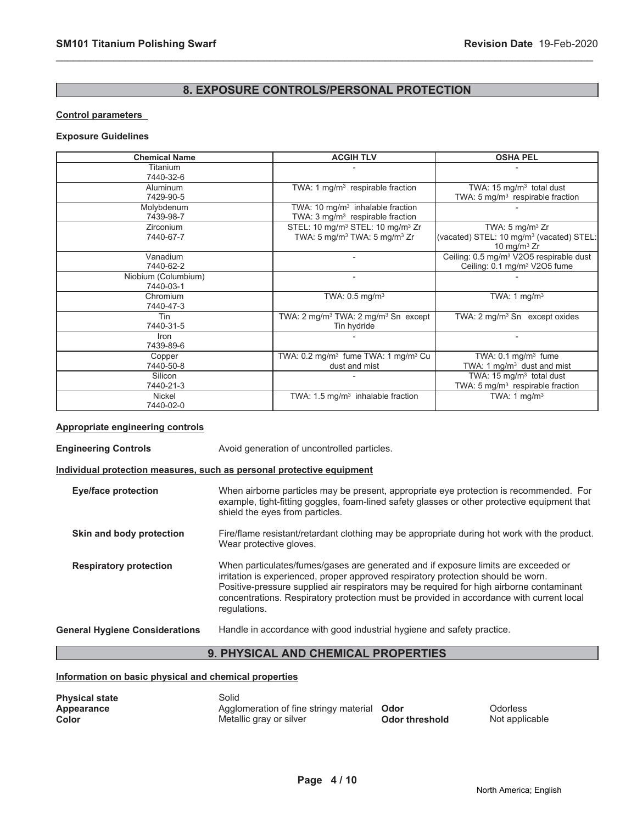### **8. EXPOSURE CONTROLS/PERSONAL PROTECTION**

\_\_\_\_\_\_\_\_\_\_\_\_\_\_\_\_\_\_\_\_\_\_\_\_\_\_\_\_\_\_\_\_\_\_\_\_\_\_\_\_\_\_\_\_\_\_\_\_\_\_\_\_\_\_\_\_\_\_\_\_\_\_\_\_\_\_\_\_\_\_\_\_\_\_\_\_\_\_\_\_\_\_\_\_\_\_\_\_\_\_\_\_\_

#### **Control parameters**

#### **Exposure Guidelines**

| <b>Chemical Name</b>             | <b>ACGIH TLV</b>                                                                                                 | <b>OSHA PEL</b>                                                                                      |
|----------------------------------|------------------------------------------------------------------------------------------------------------------|------------------------------------------------------------------------------------------------------|
| Titanium<br>7440-32-6            |                                                                                                                  |                                                                                                      |
| <b>Aluminum</b><br>7429-90-5     | TWA: 1 $mg/m3$ respirable fraction                                                                               | TWA: 15 $mg/m3$ total dust<br>TWA: $5 \text{ mg/m}^3$ respirable fraction                            |
| Molybdenum<br>7439-98-7          | TWA: 10 $mq/m3$ inhalable fraction<br>TWA: $3 \text{ mg/m}^3$ respirable fraction                                |                                                                                                      |
| <b>Zirconium</b><br>7440-67-7    | STEL: 10 mg/m <sup>3</sup> STEL: 10 mg/m <sup>3</sup> Zr<br>TWA: 5 mg/m <sup>3</sup> TWA: 5 mg/m <sup>3</sup> Zr | TWA: $5 \text{ mg/m}^3$ Zr<br>(vacated) STEL: 10 mg/m <sup>3</sup> (vacated) STEL:<br>10 mg/m $3$ Zr |
| Vanadium<br>7440-62-2            |                                                                                                                  | Ceiling: 0.5 mg/m <sup>3</sup> V2O5 respirable dust<br>Ceiling: 0.1 mg/m <sup>3</sup> V2O5 fume      |
| Niobium (Columbium)<br>7440-03-1 | $\overline{\phantom{a}}$                                                                                         |                                                                                                      |
| Chromium<br>7440-47-3            | TWA: 0.5 mg/m <sup>3</sup>                                                                                       | TWA: 1 $mg/m3$                                                                                       |
| Tin<br>7440-31-5                 | TWA: 2 mg/m <sup>3</sup> TWA: 2 mg/m <sup>3</sup> Sn except<br>Tin hydride                                       | TWA: 2 mg/m <sup>3</sup> Sn except oxides                                                            |
| Iron<br>7439-89-6                |                                                                                                                  |                                                                                                      |
| Copper<br>7440-50-8              | TWA: 0.2 mg/m <sup>3</sup> fume TWA: 1 mg/m <sup>3</sup> Cu<br>dust and mist                                     | TWA: $0.1 \text{ mg/m}^3$ fume<br>TWA: 1 $mg/m3$ dust and mist                                       |
| Silicon<br>7440-21-3             |                                                                                                                  | TWA: 15 $mg/m3$ total dust<br>TWA: 5 mg/m <sup>3</sup> respirable fraction                           |
| Nickel<br>7440-02-0              | TWA: $1.5 \text{ mg/m}^3$ inhalable fraction                                                                     | TWA: $1 \text{ mg/m}^3$                                                                              |

### **Appropriate engineering controls**

**Engineering Controls** Avoid generation of uncontrolled particles.

### **Individual protection measures, such as personal protective equipment**

| Eye/face protection           | When airborne particles may be present, appropriate eye protection is recommended. For<br>example, tight-fitting goggles, foam-lined safety glasses or other protective equipment that<br>shield the eyes from particles.                                                                                                                                                       |
|-------------------------------|---------------------------------------------------------------------------------------------------------------------------------------------------------------------------------------------------------------------------------------------------------------------------------------------------------------------------------------------------------------------------------|
| Skin and body protection      | Fire/flame resistant/retardant clothing may be appropriate during hot work with the product.<br>Wear protective gloves.                                                                                                                                                                                                                                                         |
| <b>Respiratory protection</b> | When particulates/fumes/gases are generated and if exposure limits are exceeded or<br>irritation is experienced, proper approved respiratory protection should be worn.<br>Positive-pressure supplied air respirators may be required for high airborne contaminant<br>concentrations. Respiratory protection must be provided in accordance with current local<br>regulations. |

#### **General Hygiene Considerations** Handle in accordance with good industrial hygiene and safety practice.

### **9. PHYSICAL AND CHEMICAL PROPERTIES**

#### **Information on basic physical and chemical properties**

| <b>Physical state</b> | Solid                                       |                |                |
|-----------------------|---------------------------------------------|----------------|----------------|
| Appearance            | Agglomeration of fine stringy material Odor |                | Odorless       |
| Color                 | Metallic gray or silver                     | Odor threshold | Not applicable |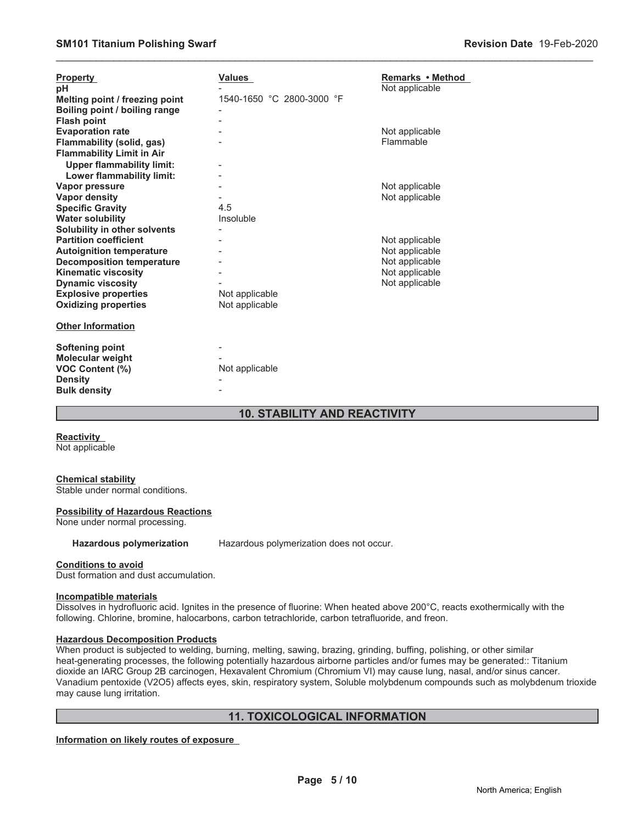| <b>Property</b><br>рH<br>Melting point / freezing point<br>Boiling point / boiling range<br><b>Flash point</b>                                                                                                                                              | <b>Values</b><br>1540-1650 °C 2800-3000 °F | Remarks • Method<br>Not applicable                                                     |
|-------------------------------------------------------------------------------------------------------------------------------------------------------------------------------------------------------------------------------------------------------------|--------------------------------------------|----------------------------------------------------------------------------------------|
| <b>Evaporation rate</b><br>Flammability (solid, gas)<br><b>Flammability Limit in Air</b><br><b>Upper flammability limit:</b>                                                                                                                                |                                            | Not applicable<br>Flammable                                                            |
| Lower flammability limit:<br>Vapor pressure<br><b>Vapor density</b><br><b>Specific Gravity</b><br><b>Water solubility</b>                                                                                                                                   | 4.5<br>Insoluble                           | Not applicable<br>Not applicable                                                       |
| Solubility in other solvents<br><b>Partition coefficient</b><br><b>Autoignition temperature</b><br><b>Decomposition temperature</b><br><b>Kinematic viscosity</b><br><b>Dynamic viscosity</b><br><b>Explosive properties</b><br><b>Oxidizing properties</b> | Not applicable<br>Not applicable           | Not applicable<br>Not applicable<br>Not applicable<br>Not applicable<br>Not applicable |
| <b>Other Information</b>                                                                                                                                                                                                                                    |                                            |                                                                                        |
| <b>Softening point</b><br>Molecular weight<br>VOC Content (%)<br><b>Density</b><br><b>Bulk density</b>                                                                                                                                                      | Not applicable                             |                                                                                        |

### **10. STABILITY AND REACTIVITY**

\_\_\_\_\_\_\_\_\_\_\_\_\_\_\_\_\_\_\_\_\_\_\_\_\_\_\_\_\_\_\_\_\_\_\_\_\_\_\_\_\_\_\_\_\_\_\_\_\_\_\_\_\_\_\_\_\_\_\_\_\_\_\_\_\_\_\_\_\_\_\_\_\_\_\_\_\_\_\_\_\_\_\_\_\_\_\_\_\_\_\_\_\_

**Reactivity** Not applicable

#### **Chemical stability**

Stable under normal conditions.

#### **Possibility of Hazardous Reactions**

None under normal processing.

**Hazardous polymerization** Hazardous polymerization does not occur.

#### **Conditions to avoid**

Dust formation and dust accumulation.

#### **Incompatible materials**

Dissolves in hydrofluoric acid. Ignites in the presence of fluorine: When heated above 200°C, reacts exothermically with the following. Chlorine, bromine, halocarbons, carbon tetrachloride, carbon tetrafluoride, and freon.

#### **Hazardous Decomposition Products**

When product is subjected to welding, burning, melting, sawing, brazing, grinding, buffing, polishing, or other similar heat-generating processes, the following potentially hazardous airborne particles and/or fumes may be generated:: Titanium dioxide an IARC Group 2B carcinogen, Hexavalent Chromium (Chromium VI) may cause lung, nasal, and/or sinus cancer. Vanadium pentoxide (V2O5) affects eyes, skin, respiratory system, Soluble molybdenum compounds such as molybdenum trioxide may cause lung irritation.

### **11. TOXICOLOGICAL INFORMATION**

**Information on likely routes of exposure**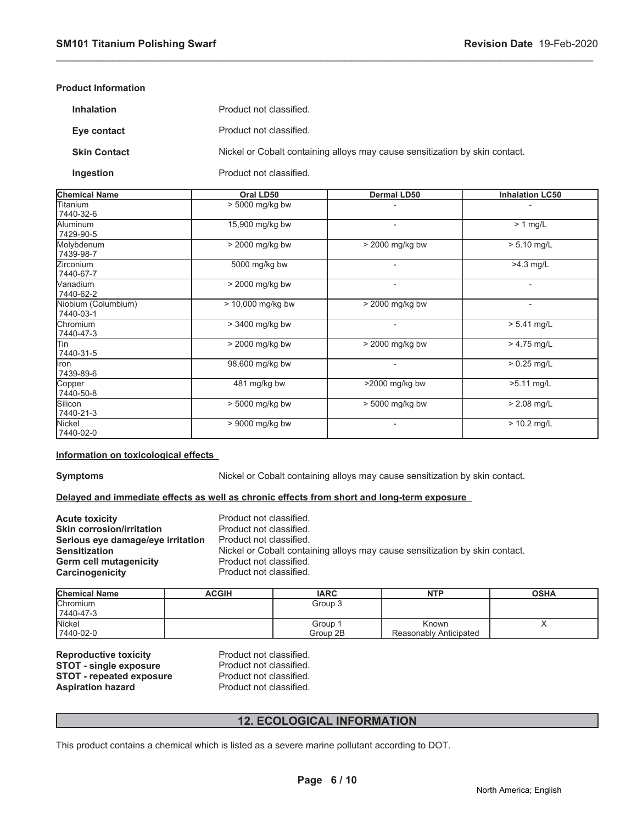#### **Product Information**

| <b>Inhalation</b>   | Product not classified.                                                     |
|---------------------|-----------------------------------------------------------------------------|
| Eye contact         | Product not classified.                                                     |
| <b>Skin Contact</b> | Nickel or Cobalt containing alloys may cause sensitization by skin contact. |
| Ingestion           | Product not classified.                                                     |

\_\_\_\_\_\_\_\_\_\_\_\_\_\_\_\_\_\_\_\_\_\_\_\_\_\_\_\_\_\_\_\_\_\_\_\_\_\_\_\_\_\_\_\_\_\_\_\_\_\_\_\_\_\_\_\_\_\_\_\_\_\_\_\_\_\_\_\_\_\_\_\_\_\_\_\_\_\_\_\_\_\_\_\_\_\_\_\_\_\_\_\_\_

| <b>Chemical Name</b>             | Oral LD50         | <b>Dermal LD50</b> | <b>Inhalation LC50</b> |
|----------------------------------|-------------------|--------------------|------------------------|
| Titanium<br>7440-32-6            | > 5000 mg/kg bw   |                    |                        |
| Aluminum<br>7429-90-5            | 15,900 mg/kg bw   | -                  | $> 1$ mg/L             |
| Molybdenum<br>7439-98-7          | > 2000 mg/kg bw   | > 2000 mg/kg bw    | $> 5.10$ mg/L          |
| lZirconium<br>7440-67-7          | 5000 mg/kg bw     |                    | $\overline{>4.3}$ mg/L |
| Wanadium<br>7440-62-2            | > 2000 mg/kg bw   |                    |                        |
| Niobium (Columbium)<br>7440-03-1 | > 10,000 mg/kg bw | > 2000 mg/kg bw    | $\overline{a}$         |
| <b>Chromium</b><br>7440-47-3     | > 3400 mg/kg bw   | $\blacksquare$     | $> 5.41$ mg/L          |
| lTin<br>7440-31-5                | > 2000 mg/kg bw   | $>$ 2000 mg/kg bw  | $> 4.75$ mg/L          |
| llron<br>7439-89-6               | 98,600 mg/kg bw   | -                  | $> 0.25$ mg/L          |
| Copper<br>7440-50-8              | 481 mg/kg bw      | >2000 mg/kg bw     | $>5.11$ mg/L           |
| Silicon<br>7440-21-3             | > 5000 mg/kg bw   | > 5000 mg/kg bw    | $> 2.08$ mg/L          |
| Nickel<br>7440-02-0              | $> 9000$ mg/kg bw | -                  | $> 10.2$ mg/L          |

#### **Information on toxicological effects**

**Symptoms** Nickel or Cobalt containing alloys may cause sensitization by skin contact.

#### **Delayed and immediate effects as well as chronic effects from short and long-term exposure**

| <b>Acute toxicity</b>             | Product not classified.                                                     |
|-----------------------------------|-----------------------------------------------------------------------------|
| <b>Skin corrosion/irritation</b>  | Product not classified.                                                     |
| Serious eye damage/eye irritation | Product not classified.                                                     |
| <b>Sensitization</b>              | Nickel or Cobalt containing alloys may cause sensitization by skin contact. |
| Germ cell mutagenicity            | Product not classified.                                                     |
| <b>Carcinogenicity</b>            | Product not classified.                                                     |

| <b>Chemical Name</b> | <b>ACGIH</b> | <b>IARC</b> | <b>NTP</b>             | <b>OSHA</b> |
|----------------------|--------------|-------------|------------------------|-------------|
| <b>Chromium</b>      |              | Group 3     |                        |             |
| 7440-47-3            |              |             |                        |             |
| <b>Nickel</b>        |              | Group :     | Known                  |             |
| 7440-02-0            |              | Group 2B    | Reasonably Anticipated |             |

**Reproductive toxicity** Product not classified.<br> **STOT - single exposure** Product not classified. **STOT - single exposure** Product not classified.<br> **STOT - repeated exposure** Product not classified. **STOT - repeated exposure<br>Aspiration hazard** 

Product not classified.

### **12. ECOLOGICAL INFORMATION**

This product contains a chemical which is listed as a severe marine pollutant according to DOT.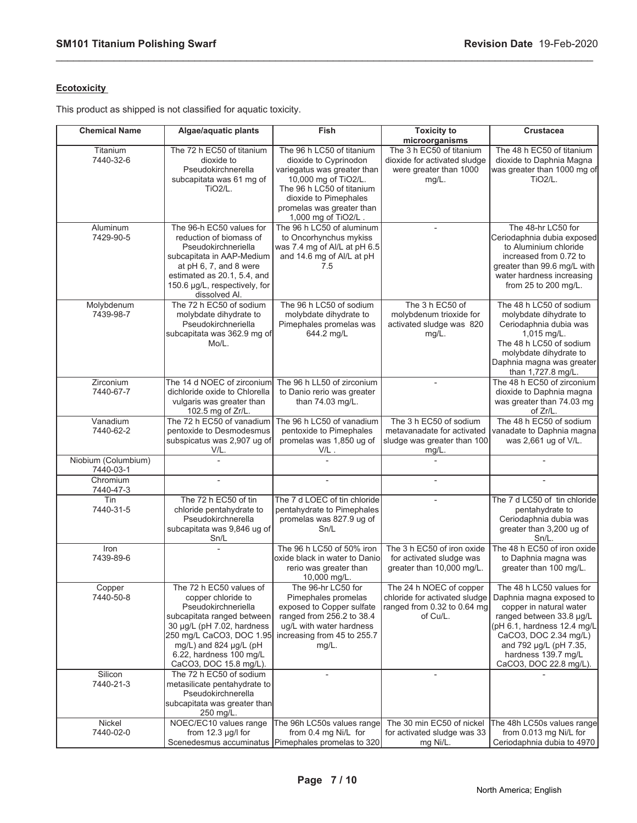### **Ecotoxicity**

This product as shipped is not classified for aquatic toxicity.

| <b>Chemical Name</b>             | Algae/aquatic plants                                                                                                                                                                                                                           | Fish                                                                                                                                                                                                                | <b>Toxicity to</b><br>microorganisms                                                                | <b>Crustacea</b>                                                                                                                                                                                                                               |
|----------------------------------|------------------------------------------------------------------------------------------------------------------------------------------------------------------------------------------------------------------------------------------------|---------------------------------------------------------------------------------------------------------------------------------------------------------------------------------------------------------------------|-----------------------------------------------------------------------------------------------------|------------------------------------------------------------------------------------------------------------------------------------------------------------------------------------------------------------------------------------------------|
| Titanium<br>7440-32-6            | The 72 h EC50 of titanium<br>dioxide to<br>Pseudokirchnerella<br>subcapitata was 61 mg of<br><b>TiO2/L.</b>                                                                                                                                    | The 96 h LC50 of titanium<br>dioxide to Cyprinodon<br>variegatus was greater than<br>10,000 mg of TiO2/L.<br>The 96 h LC50 of titanium<br>dioxide to Pimephales<br>promelas was greater than<br>1,000 mg of TiO2/L. | The 3 h EC50 of titanium<br>dioxide for activated sludge<br>were greater than 1000<br>$mg/L$ .      | The 48 h EC50 of titanium<br>dioxide to Daphnia Magna<br>was greater than 1000 mg of<br><b>TiO2/L.</b>                                                                                                                                         |
| Aluminum<br>7429-90-5            | The 96-h EC50 values for<br>reduction of biomass of<br>Pseudokirchneriella<br>subcapitata in AAP-Medium<br>at pH 6, 7, and 8 were<br>estimated as 20.1, 5.4, and<br>150.6 µg/L, respectively, for<br>dissolved Al.                             | The 96 h LC50 of aluminum<br>to Oncorhynchus mykiss<br>was 7.4 mg of Al/L at pH 6.5<br>and 14.6 mg of Al/L at pH<br>7.5                                                                                             | $\overline{\phantom{a}}$                                                                            | The 48-hr LC50 for<br>Ceriodaphnia dubia exposed<br>to Aluminium chloride<br>increased from 0.72 to<br>greater than 99.6 mg/L with<br>water hardness increasing<br>from 25 to 200 mg/L.                                                        |
| Molybdenum<br>7439-98-7          | The 72 h EC50 of sodium<br>molybdate dihydrate to<br>Pseudokirchneriella<br>subcapitata was 362.9 mg of<br>Mo/L.                                                                                                                               | The 96 h LC50 of sodium<br>molybdate dihydrate to<br>Pimephales promelas was<br>644.2 mg/L                                                                                                                          | The 3 h EC50 of<br>molybdenum trioxide for<br>activated sludge was 820<br>mg/L.                     | The 48 h LC50 of sodium<br>molybdate dihydrate to<br>Ceriodaphnia dubia was<br>1,015 mg/L.<br>The 48 h LC50 of sodium<br>molybdate dihydrate to<br>Daphnia magna was greater<br>than 1,727.8 mg/L.                                             |
| Zirconium<br>7440-67-7           | The 14 d NOEC of zirconium<br>dichloride oxide to Chlorella<br>vulgaris was greater than<br>102.5 mg of Zr/L.                                                                                                                                  | The 96 h LL50 of zirconium<br>to Danio rerio was greater<br>than 74.03 mg/L.                                                                                                                                        |                                                                                                     | The 48 h EC50 of zirconium<br>dioxide to Daphnia magna<br>was greater than 74.03 mg<br>of Zr/L.                                                                                                                                                |
| Vanadium<br>7440-62-2            | The 72 h EC50 of vanadium<br>pentoxide to Desmodesmus<br>subspicatus was 2,907 ug of<br>V/L.                                                                                                                                                   | The 96 h LC50 of vanadium<br>pentoxide to Pimephales<br>promelas was 1,850 ug of<br>$V/L$ .                                                                                                                         | The 3 h EC50 of sodium<br>metavanadate for activated<br>sludge was greater than 100<br>mg/L.        | The 48 h EC50 of sodium<br>vanadate to Daphnia magna<br>was 2,661 ug of V/L.                                                                                                                                                                   |
| Niobium (Columbium)<br>7440-03-1 |                                                                                                                                                                                                                                                |                                                                                                                                                                                                                     |                                                                                                     |                                                                                                                                                                                                                                                |
| Chromium<br>7440-47-3            | $\overline{a}$                                                                                                                                                                                                                                 |                                                                                                                                                                                                                     |                                                                                                     |                                                                                                                                                                                                                                                |
| Tin<br>7440-31-5                 | The 72 h EC50 of tin<br>chloride pentahydrate to<br>Pseudokirchnerella<br>subcapitata was 9,846 ug of<br>Sn/L                                                                                                                                  | The 7 d LOEC of tin chloride<br>pentahydrate to Pimephales<br>promelas was 827.9 ug of<br>Sn/L                                                                                                                      |                                                                                                     | The 7 d LC50 of tin chloride<br>pentahydrate to<br>Ceriodaphnia dubia was<br>greater than 3,200 ug of<br>$Sn/L$ .                                                                                                                              |
| Iron<br>7439-89-6                |                                                                                                                                                                                                                                                | The 96 h LC50 of 50% iron<br>oxide black in water to Daniol<br>rerio was greater than<br>10,000 mg/L.                                                                                                               | The 3 h EC50 of iron oxide<br>for activated sludge was<br>greater than 10,000 mg/L.                 | The 48 h EC50 of iron oxide<br>to Daphnia magna was<br>greater than 100 mg/L.                                                                                                                                                                  |
| Copper<br>7440-50-8              | The 72 h EC50 values of<br>copper chloride to<br>Pseudokirchneriella<br>subcapitata ranged between<br>30 µg/L (pH 7.02, hardness<br>250 mg/L CaCO3, DOC 1.95<br>mg/L) and 824 µg/L (pH<br>$6.22$ , hardness 100 mg/L<br>CaCO3, DOC 15.8 mg/L). | The 96-hr LC50 for<br>Pimephales promelas<br>exposed to Copper sulfate<br>ranged from 256.2 to 38.4<br>ug/L with water hardness<br>increasing from 45 to 255.7<br>$mg/L$ .                                          | The 24 h NOEC of copper<br>chloride for activated sludge<br>ranged from 0.32 to 0.64 mg<br>of Cu/L. | The 48 h LC50 values for<br>Daphnia magna exposed to<br>copper in natural water<br>ranged between 33.8 µg/L<br>(pH 6.1, hardness 12.4 mg/L<br>CaCO3, DOC 2.34 mg/L)<br>and 792 µg/L (pH 7.35,<br>hardness 139.7 mg/L<br>CaCO3, DOC 22.8 mg/L). |
| Silicon<br>7440-21-3             | The 72 h EC50 of sodium<br>metasilicate pentahydrate to<br>Pseudokirchnerella<br>subcapitata was greater than<br>250 mg/L.                                                                                                                     |                                                                                                                                                                                                                     |                                                                                                     |                                                                                                                                                                                                                                                |
| Nickel<br>7440-02-0              | NOEC/EC10 values range<br>from $12.3 \mu g/l$ for                                                                                                                                                                                              | The 96h LC50s values range<br>from 0.4 mg Ni/L for<br>Scenedesmus accuminatus   Pimephales promelas to 320                                                                                                          | The 30 min EC50 of nickel<br>for activated sludge was 33<br>mg Ni/L.                                | The 48h LC50s values range<br>from 0.013 mg Ni/L for<br>Ceriodaphnia dubia to 4970                                                                                                                                                             |

\_\_\_\_\_\_\_\_\_\_\_\_\_\_\_\_\_\_\_\_\_\_\_\_\_\_\_\_\_\_\_\_\_\_\_\_\_\_\_\_\_\_\_\_\_\_\_\_\_\_\_\_\_\_\_\_\_\_\_\_\_\_\_\_\_\_\_\_\_\_\_\_\_\_\_\_\_\_\_\_\_\_\_\_\_\_\_\_\_\_\_\_\_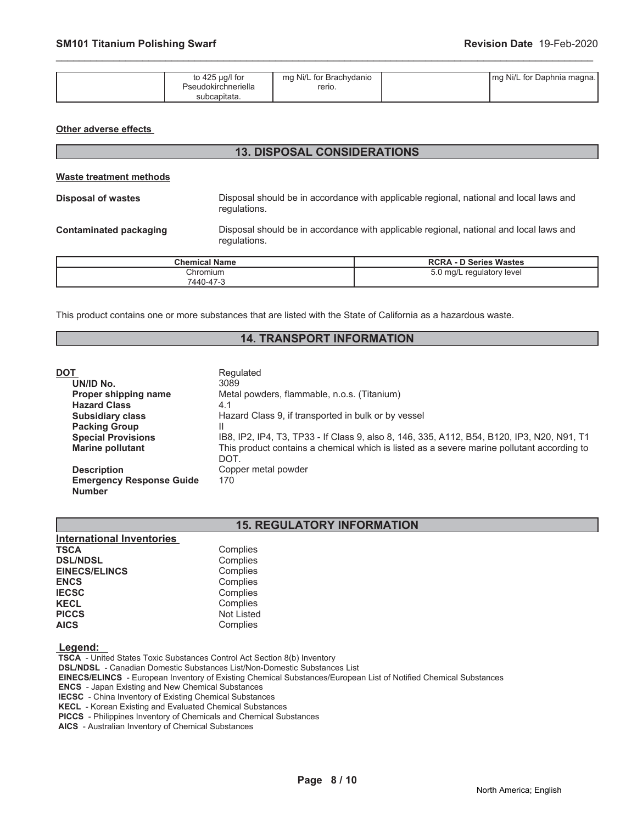| to 425 $\mu$ g/l for | mg Ni/L for Brachydanio | Img Ni/L for Daphnia magna. |
|----------------------|-------------------------|-----------------------------|
| Pseudokirchneriella  | rerio.                  |                             |
| subcapitata.         |                         |                             |

\_\_\_\_\_\_\_\_\_\_\_\_\_\_\_\_\_\_\_\_\_\_\_\_\_\_\_\_\_\_\_\_\_\_\_\_\_\_\_\_\_\_\_\_\_\_\_\_\_\_\_\_\_\_\_\_\_\_\_\_\_\_\_\_\_\_\_\_\_\_\_\_\_\_\_\_\_\_\_\_\_\_\_\_\_\_\_\_\_\_\_\_\_

#### **Other adverse effects**

| <b>13. DISPOSAL CONSIDERATIONS</b>                                                                                                      |                      |                                                                                        |  |
|-----------------------------------------------------------------------------------------------------------------------------------------|----------------------|----------------------------------------------------------------------------------------|--|
| Waste treatment methods                                                                                                                 |                      |                                                                                        |  |
| Disposal of wastes                                                                                                                      | regulations.         | Disposal should be in accordance with applicable regional, national and local laws and |  |
| Disposal should be in accordance with applicable regional, national and local laws and<br><b>Contaminated packaging</b><br>regulations. |                      |                                                                                        |  |
|                                                                                                                                         | <b>Chemical Name</b> | <b>RCRA - D Series Wastes</b>                                                          |  |
|                                                                                                                                         | Chromium             | 5.0 mg/L regulatory level                                                              |  |

This product contains one or more substances that are listed with the State of California as a hazardous waste.

7440-47-3

### **14. TRANSPORT INFORMATION**

| DOT                             | Regulated                                                                                          |
|---------------------------------|----------------------------------------------------------------------------------------------------|
| UN/ID No.                       | 3089                                                                                               |
| Proper shipping name            | Metal powders, flammable, n.o.s. (Titanium)                                                        |
| <b>Hazard Class</b>             | 4.1                                                                                                |
| <b>Subsidiary class</b>         | Hazard Class 9, if transported in bulk or by vessel                                                |
| <b>Packing Group</b>            |                                                                                                    |
| <b>Special Provisions</b>       | IB8, IP2, IP4, T3, TP33 - If Class 9, also 8, 146, 335, A112, B54, B120, IP3, N20, N91, T1         |
| <b>Marine pollutant</b>         | This product contains a chemical which is listed as a severe marine pollutant according to<br>DOT. |
| <b>Description</b>              | Copper metal powder                                                                                |
| <b>Emergency Response Guide</b> | 170                                                                                                |
| <b>Number</b>                   |                                                                                                    |

### **15. REGULATORY INFORMATION**

| <b>International Inventories</b> |                   |
|----------------------------------|-------------------|
| <b>TSCA</b>                      | Complies          |
| <b>DSL/NDSL</b>                  | Complies          |
| <b>EINECS/ELINCS</b>             | Complies          |
| <b>ENCS</b>                      | Complies          |
| <b>IECSC</b>                     | Complies          |
| <b>KECL</b>                      | Complies          |
| <b>PICCS</b>                     | <b>Not Listed</b> |
| <b>AICS</b>                      | Complies          |

 **Legend:** 

 **TSCA** - United States Toxic Substances Control Act Section 8(b) Inventory  **DSL/NDSL** - Canadian Domestic Substances List/Non-Domestic Substances List  **EINECS/ELINCS** - European Inventory of Existing Chemical Substances/European List of Notified Chemical Substances  **ENCS** - Japan Existing and New Chemical Substances  **IECSC** - China Inventory of Existing Chemical Substances  **KECL** - Korean Existing and Evaluated Chemical Substances

 **PICCS** - Philippines Inventory of Chemicals and Chemical Substances

 **AICS** - Australian Inventory of Chemical Substances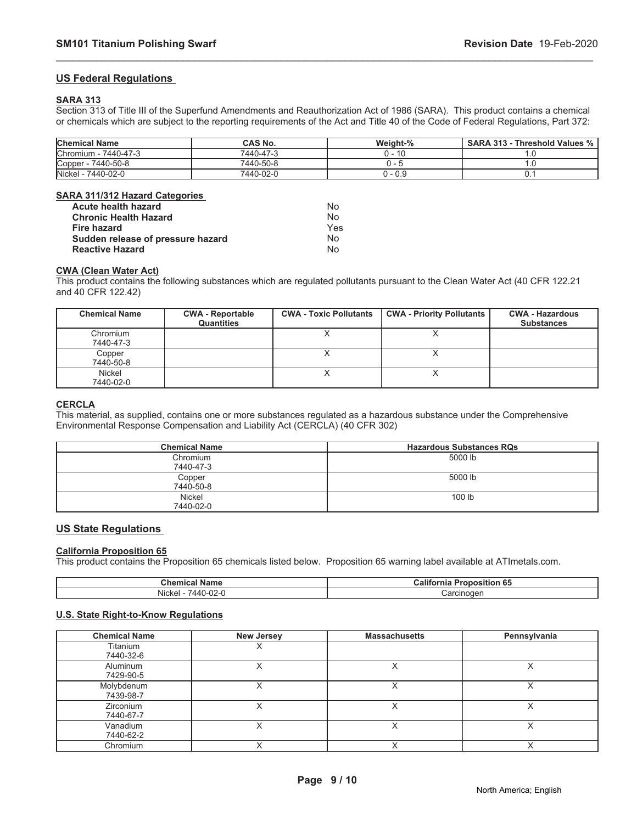#### **US Federal Regulations**

#### **SARA 313**

Section 313 of Title III of the Superfund Amendments and Reauthorization Act of 1986 (SARA). This product contains a chemical or chemicals which are subject to the reporting requirements of the Act and Title 40 of the Code of Federal Regulations, Part 372:

\_\_\_\_\_\_\_\_\_\_\_\_\_\_\_\_\_\_\_\_\_\_\_\_\_\_\_\_\_\_\_\_\_\_\_\_\_\_\_\_\_\_\_\_\_\_\_\_\_\_\_\_\_\_\_\_\_\_\_\_\_\_\_\_\_\_\_\_\_\_\_\_\_\_\_\_\_\_\_\_\_\_\_\_\_\_\_\_\_\_\_\_\_

| <b>Chemical Name</b> | <b>CAS No.</b> | Weight-% | <b>SARA 313 - Threshold Values %</b> |
|----------------------|----------------|----------|--------------------------------------|
| Chromium - 7440-47-3 | 7440-47-3      | າ - 10   |                                      |
| Copper - 7440-50-8   | 7440-50-8      |          |                                      |
| Nickel - 7440-02-0   | 7440-02-0      | 0 - 0.9  |                                      |

#### **SARA 311/312 Hazard Categories**

| Acute health hazard               | Nο  |
|-----------------------------------|-----|
| <b>Chronic Health Hazard</b>      | N٥  |
| <b>Fire hazard</b>                | Yes |
| Sudden release of pressure hazard | N٥  |
| <b>Reactive Hazard</b>            | N٥  |

#### **CWA (Clean Water Act)**

This product contains the following substances which are regulated pollutants pursuant to the Clean Water Act (40 CFR 122.21 and 40 CFR 122.42)

| <b>Chemical Name</b>  | <b>CWA - Reportable</b><br><b>Quantities</b> | <b>CWA - Toxic Pollutants</b> | <b>CWA - Priority Pollutants</b> | <b>CWA - Hazardous</b><br><b>Substances</b> |
|-----------------------|----------------------------------------------|-------------------------------|----------------------------------|---------------------------------------------|
| Chromium<br>7440-47-3 |                                              |                               |                                  |                                             |
| Copper<br>7440-50-8   |                                              |                               |                                  |                                             |
| Nickel<br>7440-02-0   |                                              |                               |                                  |                                             |

### **CERCLA**

This material, as supplied, contains one or more substances regulated as a hazardous substance under the Comprehensive Environmental Response Compensation and Liability Act (CERCLA) (40 CFR 302)

| <b>Chemical Name</b> | <b>Hazardous Substances RQs</b> |
|----------------------|---------------------------------|
| Chromium             | 5000 lb                         |
| 7440-47-3            |                                 |
| Copper               | 5000 lb                         |
| 7440-50-8            |                                 |
| Nickel               | 100 lb                          |
| 7440-02-0            |                                 |

### **US State Regulations**

#### **California Proposition 65**

This product contains the Proposition 65 chemicals listed below. Proposition 65 warning label available at ATImetals.com.

| <b>Chemical Name</b>                     | .<br>$-$<br>Califo<br>roposition<br>тна<br>່ວວ |
|------------------------------------------|------------------------------------------------|
| .<br>$\sim$<br>14 /<br>Nicke.<br>リムー<br> | :arcinoger<br>.                                |

#### **U.S. State Right-to-Know Regulations**

| <b>Chemical Name</b>    | <b>New Jersey</b> | <b>Massachusetts</b> | Pennsylvania |
|-------------------------|-------------------|----------------------|--------------|
| Titanium<br>7440-32-6   |                   |                      |              |
| Aluminum<br>7429-90-5   |                   |                      |              |
| Molybdenum<br>7439-98-7 |                   |                      |              |
| Zirconium<br>7440-67-7  |                   |                      |              |
| Vanadium<br>7440-62-2   |                   |                      |              |
| Chromium                |                   |                      |              |